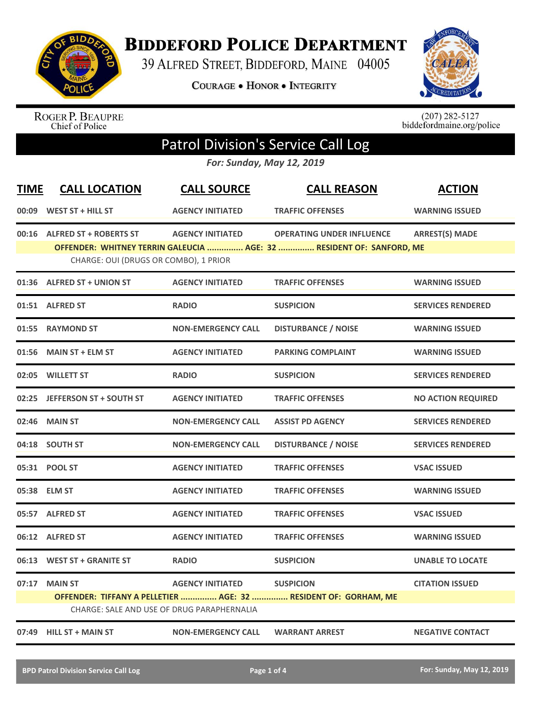

**BIDDEFORD POLICE DEPARTMENT** 

39 ALFRED STREET, BIDDEFORD, MAINE 04005

**COURAGE . HONOR . INTEGRITY** 



ROGER P. BEAUPRE<br>Chief of Police

 $(207)$  282-5127<br>biddefordmaine.org/police

## Patrol Division's Service Call Log

*For: Sunday, May 12, 2019*

| <b>TIME</b> | <b>CALL LOCATION</b>                       | <b>CALL SOURCE</b>        | <b>CALL REASON</b>                                                   | <b>ACTION</b>             |
|-------------|--------------------------------------------|---------------------------|----------------------------------------------------------------------|---------------------------|
| 00:09       | WEST ST + HILL ST                          | <b>AGENCY INITIATED</b>   | <b>TRAFFIC OFFENSES</b>                                              | <b>WARNING ISSUED</b>     |
|             | 00:16 ALFRED ST + ROBERTS ST               | <b>AGENCY INITIATED</b>   | <b>OPERATING UNDER INFLUENCE</b>                                     | <b>ARREST(S) MADE</b>     |
|             | CHARGE: OUI (DRUGS OR COMBO), 1 PRIOR      |                           | OFFENDER: WHITNEY TERRIN GALEUCIA  AGE: 32  RESIDENT OF: SANFORD, ME |                           |
|             | 01:36 ALFRED ST + UNION ST                 | <b>AGENCY INITIATED</b>   | <b>TRAFFIC OFFENSES</b>                                              | <b>WARNING ISSUED</b>     |
|             | 01:51 ALFRED ST                            | <b>RADIO</b>              | <b>SUSPICION</b>                                                     | <b>SERVICES RENDERED</b>  |
|             | 01:55 RAYMOND ST                           | <b>NON-EMERGENCY CALL</b> | <b>DISTURBANCE / NOISE</b>                                           | <b>WARNING ISSUED</b>     |
| 01:56       | <b>MAIN ST + ELM ST</b>                    | <b>AGENCY INITIATED</b>   | <b>PARKING COMPLAINT</b>                                             | <b>WARNING ISSUED</b>     |
|             | 02:05 WILLETT ST                           | <b>RADIO</b>              | <b>SUSPICION</b>                                                     | <b>SERVICES RENDERED</b>  |
|             | 02:25 JEFFERSON ST + SOUTH ST              | <b>AGENCY INITIATED</b>   | <b>TRAFFIC OFFENSES</b>                                              | <b>NO ACTION REQUIRED</b> |
| 02:46       | <b>MAIN ST</b>                             | <b>NON-EMERGENCY CALL</b> | <b>ASSIST PD AGENCY</b>                                              | <b>SERVICES RENDERED</b>  |
|             | 04:18 SOUTH ST                             | <b>NON-EMERGENCY CALL</b> | <b>DISTURBANCE / NOISE</b>                                           | <b>SERVICES RENDERED</b>  |
|             | 05:31 POOL ST                              | <b>AGENCY INITIATED</b>   | <b>TRAFFIC OFFENSES</b>                                              | <b>VSAC ISSUED</b>        |
|             | 05:38 ELM ST                               | <b>AGENCY INITIATED</b>   | <b>TRAFFIC OFFENSES</b>                                              | <b>WARNING ISSUED</b>     |
|             | 05:57 ALFRED ST                            | <b>AGENCY INITIATED</b>   | <b>TRAFFIC OFFENSES</b>                                              | <b>VSAC ISSUED</b>        |
|             | 06:12 ALFRED ST                            | <b>AGENCY INITIATED</b>   | <b>TRAFFIC OFFENSES</b>                                              | <b>WARNING ISSUED</b>     |
|             | 06:13 WEST ST + GRANITE ST                 | <b>RADIO</b>              | <b>SUSPICION</b>                                                     | <b>UNABLE TO LOCATE</b>   |
|             | 07:17 MAIN ST                              | <b>AGENCY INITIATED</b>   | <b>SUSPICION</b>                                                     | <b>CITATION ISSUED</b>    |
|             | CHARGE: SALE AND USE OF DRUG PARAPHERNALIA |                           | OFFENDER: TIFFANY A PELLETIER  AGE: 32  RESIDENT OF: GORHAM, ME      |                           |
|             | 07:49 HILL ST + MAIN ST                    | <b>NON-EMERGENCY CALL</b> | <b>WARRANT ARREST</b>                                                | <b>NEGATIVE CONTACT</b>   |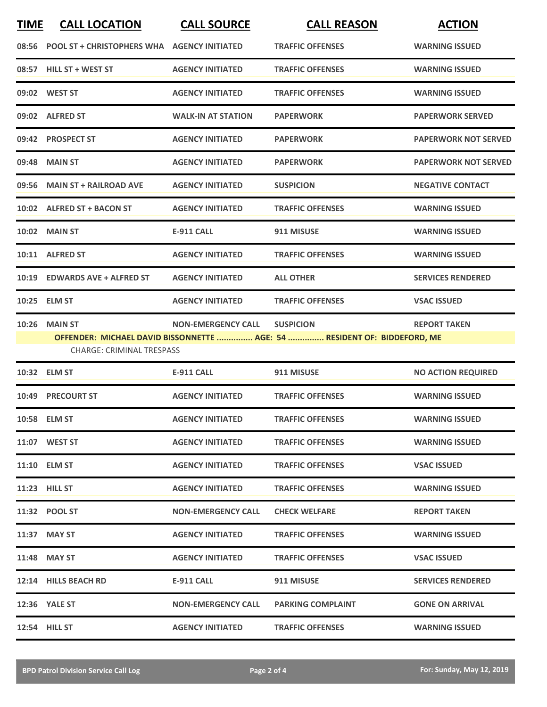| <b>TIME</b> | <b>CALL LOCATION</b>                                     | <b>CALL SOURCE</b>        | <b>CALL REASON</b>                                                                           | <b>ACTION</b>               |
|-------------|----------------------------------------------------------|---------------------------|----------------------------------------------------------------------------------------------|-----------------------------|
| 08:56       | <b>POOL ST + CHRISTOPHERS WHA AGENCY INITIATED</b>       |                           | <b>TRAFFIC OFFENSES</b>                                                                      | <b>WARNING ISSUED</b>       |
|             | 08:57 HILL ST + WEST ST                                  | <b>AGENCY INITIATED</b>   | <b>TRAFFIC OFFENSES</b>                                                                      | <b>WARNING ISSUED</b>       |
|             | 09:02 WEST ST                                            | <b>AGENCY INITIATED</b>   | <b>TRAFFIC OFFENSES</b>                                                                      | <b>WARNING ISSUED</b>       |
|             | 09:02 ALFRED ST                                          | <b>WALK-IN AT STATION</b> | <b>PAPERWORK</b>                                                                             | <b>PAPERWORK SERVED</b>     |
|             | 09:42 PROSPECT ST                                        | <b>AGENCY INITIATED</b>   | <b>PAPERWORK</b>                                                                             | <b>PAPERWORK NOT SERVED</b> |
|             | 09:48 MAIN ST                                            | <b>AGENCY INITIATED</b>   | <b>PAPERWORK</b>                                                                             | <b>PAPERWORK NOT SERVED</b> |
|             | 09:56 MAIN ST + RAILROAD AVE                             | <b>AGENCY INITIATED</b>   | <b>SUSPICION</b>                                                                             | <b>NEGATIVE CONTACT</b>     |
|             | 10:02 ALFRED ST + BACON ST                               | <b>AGENCY INITIATED</b>   | <b>TRAFFIC OFFENSES</b>                                                                      | <b>WARNING ISSUED</b>       |
|             | <b>10:02 MAIN ST</b>                                     | <b>E-911 CALL</b>         | 911 MISUSE                                                                                   | <b>WARNING ISSUED</b>       |
|             | 10:11 ALFRED ST                                          | <b>AGENCY INITIATED</b>   | <b>TRAFFIC OFFENSES</b>                                                                      | <b>WARNING ISSUED</b>       |
| 10:19       | <b>EDWARDS AVE + ALFRED ST</b>                           | <b>AGENCY INITIATED</b>   | <b>ALL OTHER</b>                                                                             | <b>SERVICES RENDERED</b>    |
|             | 10:25 ELM ST                                             | <b>AGENCY INITIATED</b>   | <b>TRAFFIC OFFENSES</b>                                                                      | <b>VSAC ISSUED</b>          |
|             | <b>10:26 MAIN ST</b><br><b>CHARGE: CRIMINAL TRESPASS</b> | <b>NON-EMERGENCY CALL</b> | <b>SUSPICION</b><br>OFFENDER: MICHAEL DAVID BISSONNETTE  AGE: 54  RESIDENT OF: BIDDEFORD, ME | <b>REPORT TAKEN</b>         |
|             | 10:32 ELM ST                                             | <b>E-911 CALL</b>         | 911 MISUSE                                                                                   | <b>NO ACTION REQUIRED</b>   |
| 10:49       | <b>PRECOURT ST</b>                                       | <b>AGENCY INITIATED</b>   | <b>TRAFFIC OFFENSES</b>                                                                      | <b>WARNING ISSUED</b>       |
|             | 10:58 ELM ST                                             | <b>AGENCY INITIATED</b>   | <b>TRAFFIC OFFENSES</b>                                                                      | <b>WARNING ISSUED</b>       |
|             | 11:07 WEST ST                                            | <b>AGENCY INITIATED</b>   | <b>TRAFFIC OFFENSES</b>                                                                      | <b>WARNING ISSUED</b>       |
|             | 11:10 ELM ST                                             | <b>AGENCY INITIATED</b>   | <b>TRAFFIC OFFENSES</b>                                                                      | <b>VSAC ISSUED</b>          |
|             | 11:23 HILL ST                                            | <b>AGENCY INITIATED</b>   | <b>TRAFFIC OFFENSES</b>                                                                      | <b>WARNING ISSUED</b>       |
|             | 11:32 POOL ST                                            | <b>NON-EMERGENCY CALL</b> | <b>CHECK WELFARE</b>                                                                         | <b>REPORT TAKEN</b>         |
|             | 11:37 MAY ST                                             | <b>AGENCY INITIATED</b>   | <b>TRAFFIC OFFENSES</b>                                                                      | <b>WARNING ISSUED</b>       |

**11:48 MAY ST AGENCY INITIATED TRAFFIC OFFENSES VSAC ISSUED 12:14 HILLS BEACH RD E-911 CALL 911 MISUSE SERVICES RENDERED 12:36 YALE ST NON-EMERGENCY CALL PARKING COMPLAINT GONE ON ARRIVAL 12:54 HILL ST AGENCY INITIATED TRAFFIC OFFENSES WARNING ISSUED**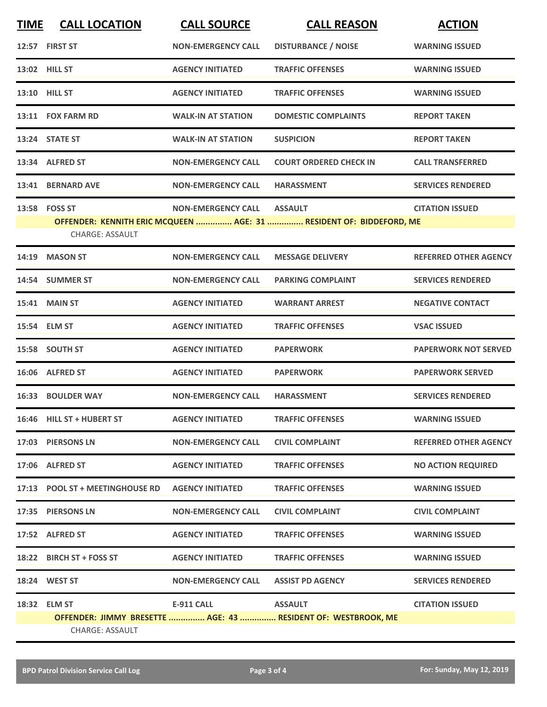| <b>TIME</b> | <b>CALL LOCATION</b>                                | <b>CALL SOURCE</b>        | <b>CALL REASON</b>                                                  | <b>ACTION</b>                |
|-------------|-----------------------------------------------------|---------------------------|---------------------------------------------------------------------|------------------------------|
|             | 12:57 FIRST ST                                      | <b>NON-EMERGENCY CALL</b> | <b>DISTURBANCE / NOISE</b>                                          | <b>WARNING ISSUED</b>        |
|             | 13:02 HILL ST                                       | <b>AGENCY INITIATED</b>   | <b>TRAFFIC OFFENSES</b>                                             | <b>WARNING ISSUED</b>        |
|             | 13:10 HILL ST                                       | <b>AGENCY INITIATED</b>   | <b>TRAFFIC OFFENSES</b>                                             | <b>WARNING ISSUED</b>        |
|             | 13:11 FOX FARM RD                                   | <b>WALK-IN AT STATION</b> | <b>DOMESTIC COMPLAINTS</b>                                          | <b>REPORT TAKEN</b>          |
|             | 13:24 STATE ST                                      | <b>WALK-IN AT STATION</b> | <b>SUSPICION</b>                                                    | <b>REPORT TAKEN</b>          |
|             | 13:34 ALFRED ST                                     | <b>NON-EMERGENCY CALL</b> | <b>COURT ORDERED CHECK IN</b>                                       | <b>CALL TRANSFERRED</b>      |
|             | 13:41 BERNARD AVE                                   | <b>NON-EMERGENCY CALL</b> | <b>HARASSMENT</b>                                                   | <b>SERVICES RENDERED</b>     |
|             | 13:58 FOSS ST                                       | <b>NON-EMERGENCY CALL</b> | <b>ASSAULT</b>                                                      | <b>CITATION ISSUED</b>       |
|             |                                                     |                           | OFFENDER: KENNITH ERIC MCQUEEN  AGE: 31  RESIDENT OF: BIDDEFORD, ME |                              |
|             | <b>CHARGE: ASSAULT</b>                              |                           |                                                                     |                              |
|             | 14:19 MASON ST                                      | <b>NON-EMERGENCY CALL</b> | <b>MESSAGE DELIVERY</b>                                             | <b>REFERRED OTHER AGENCY</b> |
|             | 14:54 SUMMER ST                                     | <b>NON-EMERGENCY CALL</b> | <b>PARKING COMPLAINT</b>                                            | <b>SERVICES RENDERED</b>     |
|             | <b>15:41 MAIN ST</b>                                | <b>AGENCY INITIATED</b>   | <b>WARRANT ARREST</b>                                               | <b>NEGATIVE CONTACT</b>      |
|             | 15:54 ELM ST                                        | <b>AGENCY INITIATED</b>   | <b>TRAFFIC OFFENSES</b>                                             | <b>VSAC ISSUED</b>           |
|             | 15:58 SOUTH ST                                      | <b>AGENCY INITIATED</b>   | <b>PAPERWORK</b>                                                    | <b>PAPERWORK NOT SERVED</b>  |
|             | 16:06 ALFRED ST                                     | <b>AGENCY INITIATED</b>   | <b>PAPERWORK</b>                                                    | <b>PAPERWORK SERVED</b>      |
|             | 16:33 BOULDER WAY                                   | <b>NON-EMERGENCY CALL</b> | <b>HARASSMENT</b>                                                   | <b>SERVICES RENDERED</b>     |
|             | 16:46 HILL ST + HUBERT ST                           | <b>AGENCY INITIATED</b>   | <b>TRAFFIC OFFENSES</b>                                             | <b>WARNING ISSUED</b>        |
|             | 17:03 PIERSONS LN                                   | <b>NON-EMERGENCY CALL</b> | <b>CIVIL COMPLAINT</b>                                              | <b>REFERRED OTHER AGENCY</b> |
|             | 17:06 ALFRED ST                                     | <b>AGENCY INITIATED</b>   | <b>TRAFFIC OFFENSES</b>                                             | <b>NO ACTION REQUIRED</b>    |
|             | 17:13 POOL ST + MEETINGHOUSE RD    AGENCY INITIATED |                           | <b>TRAFFIC OFFENSES</b>                                             | <b>WARNING ISSUED</b>        |
|             | 17:35 PIERSONS LN                                   | <b>NON-EMERGENCY CALL</b> | <b>CIVIL COMPLAINT</b>                                              | <b>CIVIL COMPLAINT</b>       |
|             | 17:52 ALFRED ST                                     | <b>AGENCY INITIATED</b>   | <b>TRAFFIC OFFENSES</b>                                             | <b>WARNING ISSUED</b>        |
|             | 18:22 BIRCH ST + FOSS ST                            | <b>AGENCY INITIATED</b>   | <b>TRAFFIC OFFENSES</b>                                             | <b>WARNING ISSUED</b>        |
|             | 18:24 WEST ST                                       | <b>NON-EMERGENCY CALL</b> | <b>ASSIST PD AGENCY</b>                                             | <b>SERVICES RENDERED</b>     |
|             | 18:32 ELM ST                                        | <b>E-911 CALL</b>         | <b>ASSAULT</b>                                                      | <b>CITATION ISSUED</b>       |
|             |                                                     |                           | OFFENDER: JIMMY BRESETTE  AGE: 43  RESIDENT OF: WESTBROOK, ME       |                              |
|             | <b>CHARGE: ASSAULT</b>                              |                           |                                                                     |                              |